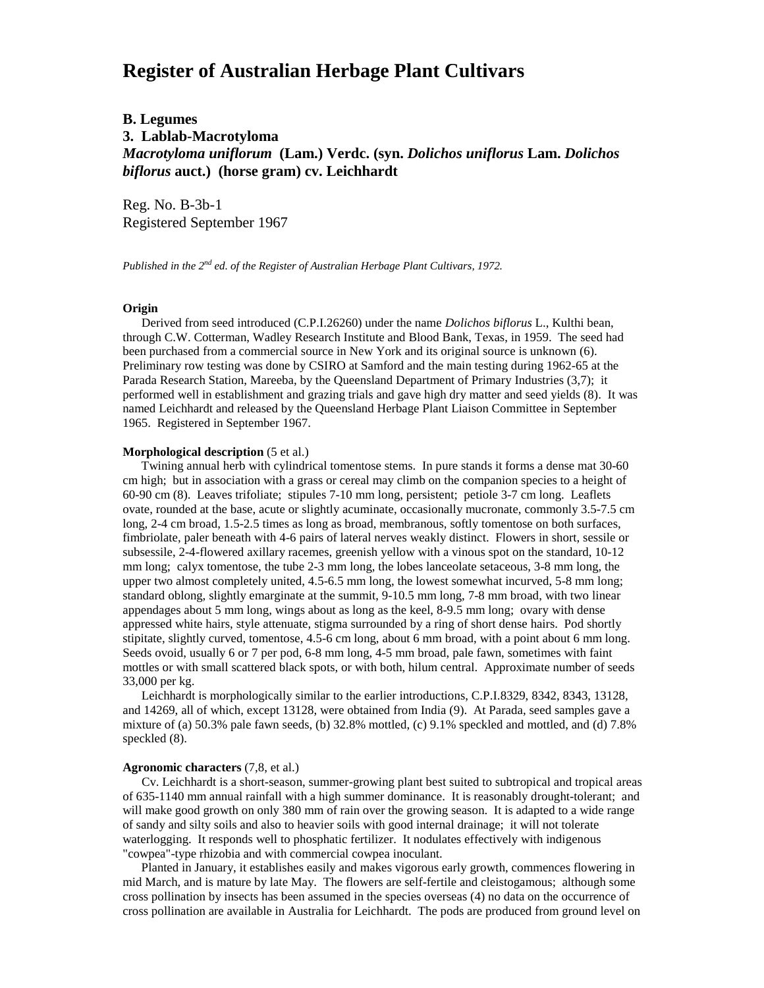# **Register of Australian Herbage Plant Cultivars**

## **B. Legumes 3. Lablab-Macrotyloma** *Macrotyloma uniflorum* **(Lam.) Verdc. (syn.** *Dolichos uniflorus* **Lam.** *Dolichos biflorus* **auct.) (horse gram) cv. Leichhardt**

Reg. No. B-3b-1 Registered September 1967

*Published in the 2nd ed. of the Register of Australian Herbage Plant Cultivars, 1972.*

#### **Origin**

 Derived from seed introduced (C.P.I.26260) under the name *Dolichos biflorus* L., Kulthi bean, through C.W. Cotterman, Wadley Research Institute and Blood Bank, Texas, in 1959. The seed had been purchased from a commercial source in New York and its original source is unknown (6). Preliminary row testing was done by CSIRO at Samford and the main testing during 1962-65 at the Parada Research Station, Mareeba, by the Queensland Department of Primary Industries (3,7); it performed well in establishment and grazing trials and gave high dry matter and seed yields (8). It was named Leichhardt and released by the Queensland Herbage Plant Liaison Committee in September 1965. Registered in September 1967.

#### **Morphological description** (5 et al.)

 Twining annual herb with cylindrical tomentose stems. In pure stands it forms a dense mat 30-60 cm high; but in association with a grass or cereal may climb on the companion species to a height of 60-90 cm (8). Leaves trifoliate; stipules 7-10 mm long, persistent; petiole 3-7 cm long. Leaflets ovate, rounded at the base, acute or slightly acuminate, occasionally mucronate, commonly 3.5-7.5 cm long, 2-4 cm broad, 1.5-2.5 times as long as broad, membranous, softly tomentose on both surfaces, fimbriolate, paler beneath with 4-6 pairs of lateral nerves weakly distinct. Flowers in short, sessile or subsessile, 2-4-flowered axillary racemes, greenish yellow with a vinous spot on the standard, 10-12 mm long; calyx tomentose, the tube 2-3 mm long, the lobes lanceolate setaceous, 3-8 mm long, the upper two almost completely united, 4.5-6.5 mm long, the lowest somewhat incurved, 5-8 mm long; standard oblong, slightly emarginate at the summit, 9-10.5 mm long, 7-8 mm broad, with two linear appendages about 5 mm long, wings about as long as the keel, 8-9.5 mm long; ovary with dense appressed white hairs, style attenuate, stigma surrounded by a ring of short dense hairs. Pod shortly stipitate, slightly curved, tomentose, 4.5-6 cm long, about 6 mm broad, with a point about 6 mm long. Seeds ovoid, usually 6 or 7 per pod, 6-8 mm long, 4-5 mm broad, pale fawn, sometimes with faint mottles or with small scattered black spots, or with both, hilum central. Approximate number of seeds 33,000 per kg.

 Leichhardt is morphologically similar to the earlier introductions, C.P.I.8329, 8342, 8343, 13128, and 14269, all of which, except 13128, were obtained from India (9). At Parada, seed samples gave a mixture of (a) 50.3% pale fawn seeds, (b) 32.8% mottled, (c) 9.1% speckled and mottled, and (d) 7.8% speckled (8).

### **Agronomic characters** (7,8, et al.)

 Cv. Leichhardt is a short-season, summer-growing plant best suited to subtropical and tropical areas of 635-1140 mm annual rainfall with a high summer dominance. It is reasonably drought-tolerant; and will make good growth on only 380 mm of rain over the growing season. It is adapted to a wide range of sandy and silty soils and also to heavier soils with good internal drainage; it will not tolerate waterlogging. It responds well to phosphatic fertilizer. It nodulates effectively with indigenous "cowpea"-type rhizobia and with commercial cowpea inoculant.

 Planted in January, it establishes easily and makes vigorous early growth, commences flowering in mid March, and is mature by late May. The flowers are self-fertile and cleistogamous; although some cross pollination by insects has been assumed in the species overseas (4) no data on the occurrence of cross pollination are available in Australia for Leichhardt. The pods are produced from ground level on